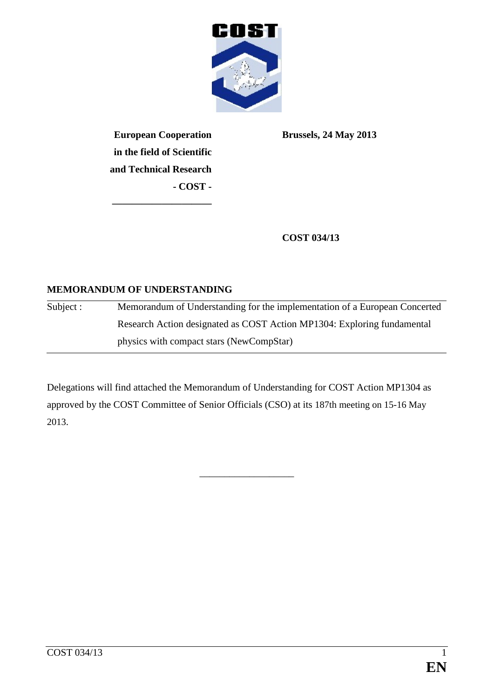

**European Cooperation in the field of Scientific and Technical Research - COST -**

**——————————**

**Brussels, 24 May 2013**

**COST 034/13**

### **MEMORANDUM OF UNDERSTANDING**

Subject : Memorandum of Understanding for the implementation of a European Concerted Research Action designated as COST Action MP1304: Exploring fundamental physics with compact stars (NewCompStar)

Delegations will find attached the Memorandum of Understanding for COST Action MP1304 as approved by the COST Committee of Senior Officials (CSO) at its 187th meeting on 15-16 May 2013.

\_\_\_\_\_\_\_\_\_\_\_\_\_\_\_\_\_\_\_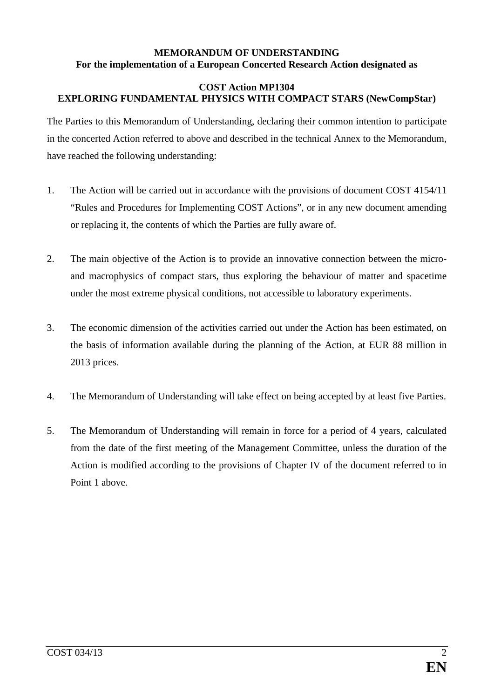#### **MEMORANDUM OF UNDERSTANDING For the implementation of a European Concerted Research Action designated as**

#### **COST Action MP1304 EXPLORING FUNDAMENTAL PHYSICS WITH COMPACT STARS (NewCompStar)**

The Parties to this Memorandum of Understanding, declaring their common intention to participate in the concerted Action referred to above and described in the technical Annex to the Memorandum, have reached the following understanding:

- 1. The Action will be carried out in accordance with the provisions of document COST 4154/11 "Rules and Procedures for Implementing COST Actions", or in any new document amending or replacing it, the contents of which the Parties are fully aware of.
- 2. The main objective of the Action is to provide an innovative connection between the microand macrophysics of compact stars, thus exploring the behaviour of matter and spacetime under the most extreme physical conditions, not accessible to laboratory experiments.
- 3. The economic dimension of the activities carried out under the Action has been estimated, on the basis of information available during the planning of the Action, at EUR 88 million in 2013 prices.
- 4. The Memorandum of Understanding will take effect on being accepted by at least five Parties.
- 5. The Memorandum of Understanding will remain in force for a period of 4 years, calculated from the date of the first meeting of the Management Committee, unless the duration of the Action is modified according to the provisions of Chapter IV of the document referred to in Point 1 above.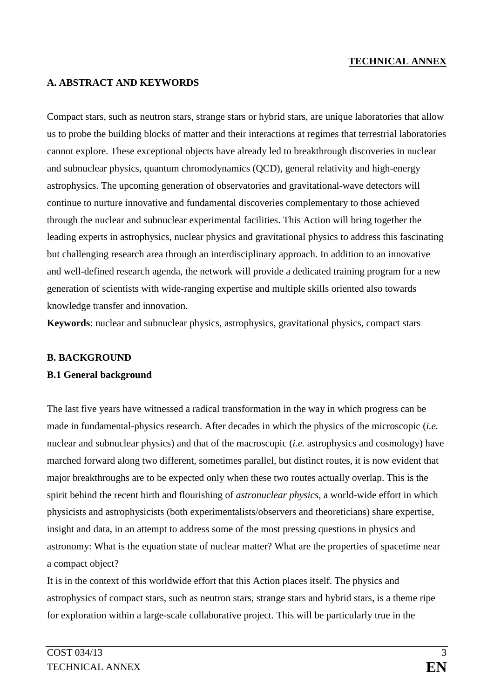### **TECHNICAL ANNEX**

#### **A. ABSTRACT AND KEYWORDS**

Compact stars, such as neutron stars, strange stars or hybrid stars, are unique laboratories that allow us to probe the building blocks of matter and their interactions at regimes that terrestrial laboratories cannot explore. These exceptional objects have already led to breakthrough discoveries in nuclear and subnuclear physics, quantum chromodynamics (QCD), general relativity and high-energy astrophysics. The upcoming generation of observatories and gravitational-wave detectors will continue to nurture innovative and fundamental discoveries complementary to those achieved through the nuclear and subnuclear experimental facilities. This Action will bring together the leading experts in astrophysics, nuclear physics and gravitational physics to address this fascinating but challenging research area through an interdisciplinary approach. In addition to an innovative and well-defined research agenda, the network will provide a dedicated training program for a new generation of scientists with wide-ranging expertise and multiple skills oriented also towards knowledge transfer and innovation.

**Keywords**: nuclear and subnuclear physics, astrophysics, gravitational physics, compact stars

#### **B. BACKGROUND**

#### **B.1 General background**

The last five years have witnessed a radical transformation in the way in which progress can be made in fundamental-physics research. After decades in which the physics of the microscopic (*i.e.*  nuclear and subnuclear physics) and that of the macroscopic (*i.e.* astrophysics and cosmology) have marched forward along two different, sometimes parallel, but distinct routes, it is now evident that major breakthroughs are to be expected only when these two routes actually overlap. This is the spirit behind the recent birth and flourishing of *astronuclear physics*, a world-wide effort in which physicists and astrophysicists (both experimentalists/observers and theoreticians) share expertise, insight and data, in an attempt to address some of the most pressing questions in physics and astronomy: What is the equation state of nuclear matter? What are the properties of spacetime near a compact object?

It is in the context of this worldwide effort that this Action places itself. The physics and astrophysics of compact stars, such as neutron stars, strange stars and hybrid stars, is a theme ripe for exploration within a large-scale collaborative project. This will be particularly true in the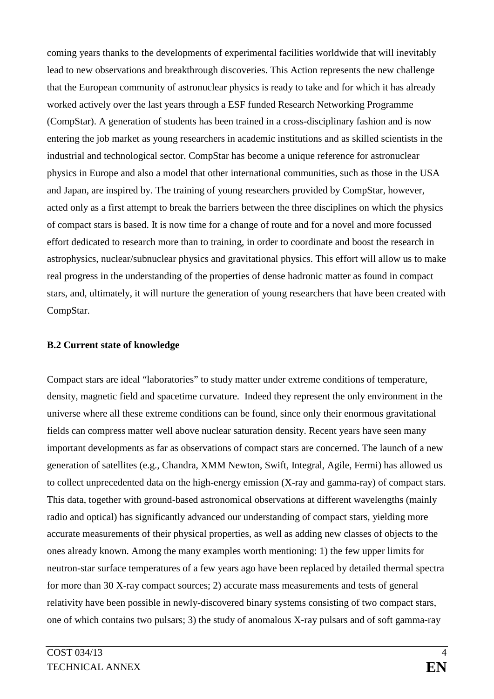coming years thanks to the developments of experimental facilities worldwide that will inevitably lead to new observations and breakthrough discoveries. This Action represents the new challenge that the European community of astronuclear physics is ready to take and for which it has already worked actively over the last years through a ESF funded Research Networking Programme (CompStar). A generation of students has been trained in a cross-disciplinary fashion and is now entering the job market as young researchers in academic institutions and as skilled scientists in the industrial and technological sector. CompStar has become a unique reference for astronuclear physics in Europe and also a model that other international communities, such as those in the USA and Japan, are inspired by. The training of young researchers provided by CompStar, however, acted only as a first attempt to break the barriers between the three disciplines on which the physics of compact stars is based. It is now time for a change of route and for a novel and more focussed effort dedicated to research more than to training, in order to coordinate and boost the research in astrophysics, nuclear/subnuclear physics and gravitational physics. This effort will allow us to make real progress in the understanding of the properties of dense hadronic matter as found in compact stars, and, ultimately, it will nurture the generation of young researchers that have been created with CompStar.

#### **B.2 Current state of knowledge**

Compact stars are ideal "laboratories" to study matter under extreme conditions of temperature, density, magnetic field and spacetime curvature. Indeed they represent the only environment in the universe where all these extreme conditions can be found, since only their enormous gravitational fields can compress matter well above nuclear saturation density. Recent years have seen many important developments as far as observations of compact stars are concerned. The launch of a new generation of satellites (e.g., Chandra, XMM Newton, Swift, Integral, Agile, Fermi) has allowed us to collect unprecedented data on the high-energy emission (X-ray and gamma-ray) of compact stars. This data, together with ground-based astronomical observations at different wavelengths (mainly radio and optical) has significantly advanced our understanding of compact stars, yielding more accurate measurements of their physical properties, as well as adding new classes of objects to the ones already known. Among the many examples worth mentioning: 1) the few upper limits for neutron-star surface temperatures of a few years ago have been replaced by detailed thermal spectra for more than 30 X-ray compact sources; 2) accurate mass measurements and tests of general relativity have been possible in newly-discovered binary systems consisting of two compact stars, one of which contains two pulsars; 3) the study of anomalous X-ray pulsars and of soft gamma-ray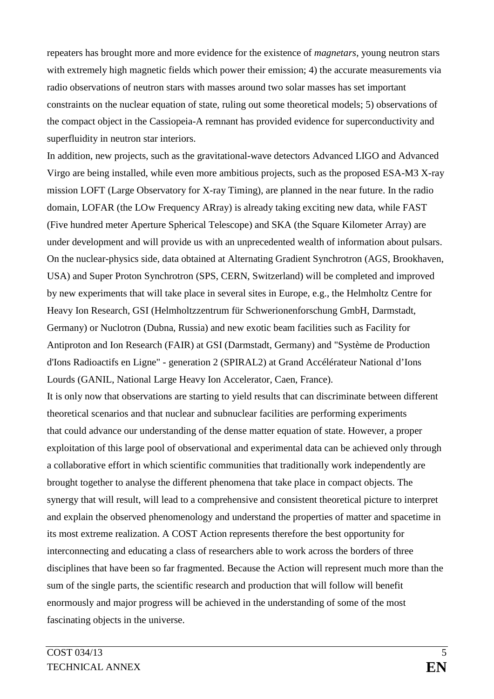repeaters has brought more and more evidence for the existence of *magnetars*, young neutron stars with extremely high magnetic fields which power their emission; 4) the accurate measurements via radio observations of neutron stars with masses around two solar masses has set important constraints on the nuclear equation of state, ruling out some theoretical models; 5) observations of the compact object in the Cassiopeia-A remnant has provided evidence for superconductivity and superfluidity in neutron star interiors.

In addition, new projects, such as the gravitational-wave detectors Advanced LIGO and Advanced Virgo are being installed, while even more ambitious projects, such as the proposed ESA-M3 X-ray mission LOFT (Large Observatory for X-ray Timing), are planned in the near future. In the radio domain, LOFAR (the LOw Frequency ARray) is already taking exciting new data, while FAST (Five hundred meter Aperture Spherical Telescope) and SKA (the Square Kilometer Array) are under development and will provide us with an unprecedented wealth of information about pulsars. On the nuclear-physics side, data obtained at Alternating Gradient Synchrotron (AGS, Brookhaven, USA) and Super Proton Synchrotron (SPS, CERN, Switzerland) will be completed and improved by new experiments that will take place in several sites in Europe, e.g., the Helmholtz Centre for Heavy Ion Research, GSI (Helmholtzzentrum für Schwerionenforschung GmbH, Darmstadt, Germany) or Nuclotron (Dubna, Russia) and new exotic beam facilities such as Facility for Antiproton and Ion Research (FAIR) at GSI (Darmstadt, Germany) and "Système de Production d'Ions Radioactifs en Ligne" - generation 2 (SPIRAL2) at Grand Accélérateur National d'Ions Lourds (GANIL, National Large Heavy Ion Accelerator, Caen, France).

It is only now that observations are starting to yield results that can discriminate between different theoretical scenarios and that nuclear and subnuclear facilities are performing experiments that could advance our understanding of the dense matter equation of state. However, a proper exploitation of this large pool of observational and experimental data can be achieved only through a collaborative effort in which scientific communities that traditionally work independently are brought together to analyse the different phenomena that take place in compact objects. The synergy that will result, will lead to a comprehensive and consistent theoretical picture to interpret and explain the observed phenomenology and understand the properties of matter and spacetime in its most extreme realization. A COST Action represents therefore the best opportunity for interconnecting and educating a class of researchers able to work across the borders of three disciplines that have been so far fragmented. Because the Action will represent much more than the sum of the single parts, the scientific research and production that will follow will benefit enormously and major progress will be achieved in the understanding of some of the most fascinating objects in the universe.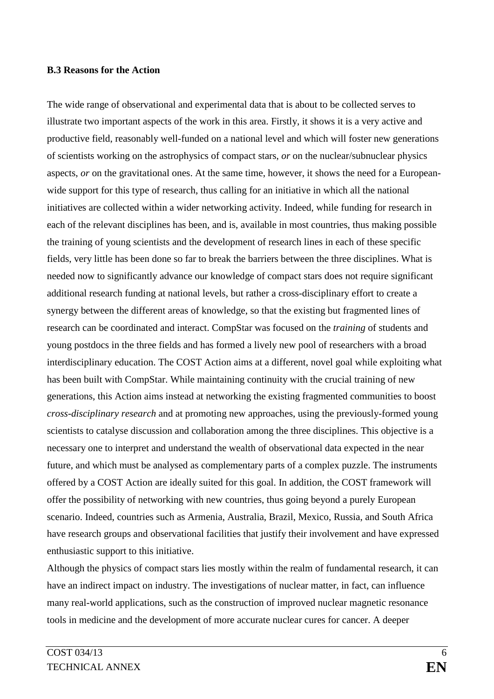#### **B.3 Reasons for the Action**

The wide range of observational and experimental data that is about to be collected serves to illustrate two important aspects of the work in this area. Firstly, it shows it is a very active and productive field, reasonably well-funded on a national level and which will foster new generations of scientists working on the astrophysics of compact stars, *or* on the nuclear/subnuclear physics aspects, *or* on the gravitational ones. At the same time, however, it shows the need for a Europeanwide support for this type of research, thus calling for an initiative in which all the national initiatives are collected within a wider networking activity. Indeed, while funding for research in each of the relevant disciplines has been, and is, available in most countries, thus making possible the training of young scientists and the development of research lines in each of these specific fields, very little has been done so far to break the barriers between the three disciplines. What is needed now to significantly advance our knowledge of compact stars does not require significant additional research funding at national levels, but rather a cross-disciplinary effort to create a synergy between the different areas of knowledge, so that the existing but fragmented lines of research can be coordinated and interact. CompStar was focused on the *training* of students and young postdocs in the three fields and has formed a lively new pool of researchers with a broad interdisciplinary education. The COST Action aims at a different, novel goal while exploiting what has been built with CompStar. While maintaining continuity with the crucial training of new generations, this Action aims instead at networking the existing fragmented communities to boost *cross-disciplinary research* and at promoting new approaches, using the previously-formed young scientists to catalyse discussion and collaboration among the three disciplines. This objective is a necessary one to interpret and understand the wealth of observational data expected in the near future, and which must be analysed as complementary parts of a complex puzzle. The instruments offered by a COST Action are ideally suited for this goal. In addition, the COST framework will offer the possibility of networking with new countries, thus going beyond a purely European scenario. Indeed, countries such as Armenia, Australia, Brazil, Mexico, Russia, and South Africa have research groups and observational facilities that justify their involvement and have expressed enthusiastic support to this initiative.

Although the physics of compact stars lies mostly within the realm of fundamental research, it can have an indirect impact on industry. The investigations of nuclear matter, in fact, can influence many real-world applications, such as the construction of improved nuclear magnetic resonance tools in medicine and the development of more accurate nuclear cures for cancer. A deeper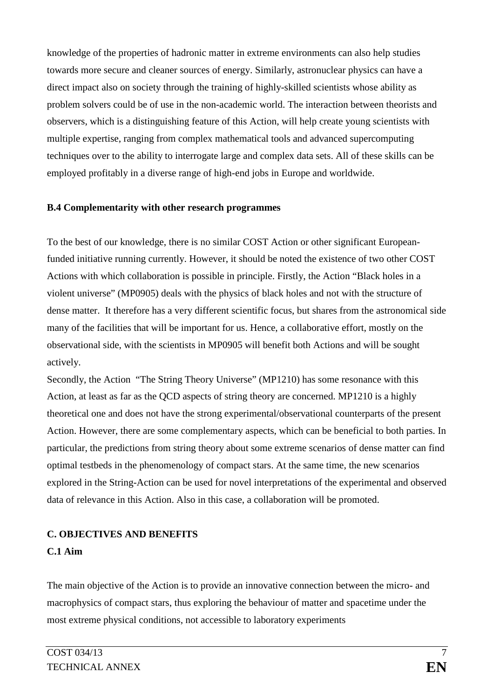knowledge of the properties of hadronic matter in extreme environments can also help studies towards more secure and cleaner sources of energy. Similarly, astronuclear physics can have a direct impact also on society through the training of highly-skilled scientists whose ability as problem solvers could be of use in the non-academic world. The interaction between theorists and observers, which is a distinguishing feature of this Action, will help create young scientists with multiple expertise, ranging from complex mathematical tools and advanced supercomputing techniques over to the ability to interrogate large and complex data sets. All of these skills can be employed profitably in a diverse range of high-end jobs in Europe and worldwide.

#### **B.4 Complementarity with other research programmes**

To the best of our knowledge, there is no similar COST Action or other significant Europeanfunded initiative running currently. However, it should be noted the existence of two other COST Actions with which collaboration is possible in principle. Firstly, the Action "Black holes in a violent universe" (MP0905) deals with the physics of black holes and not with the structure of dense matter. It therefore has a very different scientific focus, but shares from the astronomical side many of the facilities that will be important for us. Hence, a collaborative effort, mostly on the observational side, with the scientists in MP0905 will benefit both Actions and will be sought actively.

Secondly, the Action "The String Theory Universe" (MP1210) has some resonance with this Action, at least as far as the QCD aspects of string theory are concerned. MP1210 is a highly theoretical one and does not have the strong experimental/observational counterparts of the present Action. However, there are some complementary aspects, which can be beneficial to both parties. In particular, the predictions from string theory about some extreme scenarios of dense matter can find optimal testbeds in the phenomenology of compact stars. At the same time, the new scenarios explored in the String-Action can be used for novel interpretations of the experimental and observed data of relevance in this Action. Also in this case, a collaboration will be promoted.

# **C. OBJECTIVES AND BENEFITS**

# **C.1 Aim**

The main objective of the Action is to provide an innovative connection between the micro- and macrophysics of compact stars, thus exploring the behaviour of matter and spacetime under the most extreme physical conditions, not accessible to laboratory experiments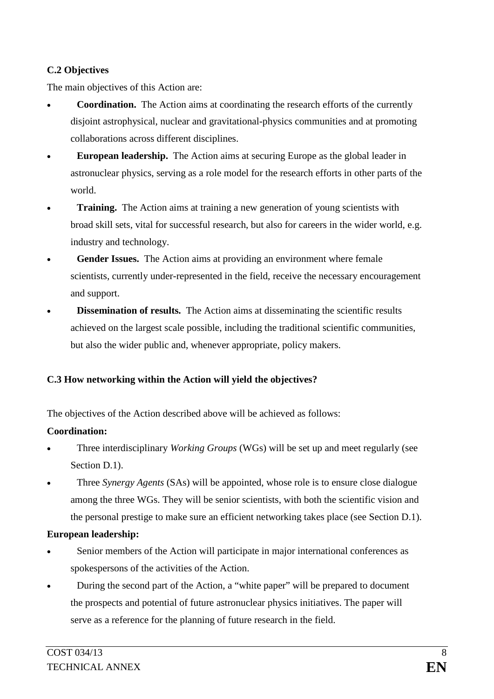## **C.2 Objectives**

The main objectives of this Action are:

- **Coordination.** The Action aims at coordinating the research efforts of the currently disjoint astrophysical, nuclear and gravitational-physics communities and at promoting collaborations across different disciplines.
- **European leadership.** The Action aims at securing Europe as the global leader in astronuclear physics, serving as a role model for the research efforts in other parts of the world.
- **Training.** The Action aims at training a new generation of young scientists with broad skill sets, vital for successful research, but also for careers in the wider world, e.g. industry and technology.
- Gender Issues. The Action aims at providing an environment where female scientists, currently under-represented in the field, receive the necessary encouragement and support.
- **Dissemination of results.** The Action aims at disseminating the scientific results achieved on the largest scale possible, including the traditional scientific communities, but also the wider public and, whenever appropriate, policy makers.

# **C.3 How networking within the Action will yield the objectives?**

The objectives of the Action described above will be achieved as follows:

# **Coordination:**

- Three interdisciplinary *Working Groups* (WGs) will be set up and meet regularly (see Section D.1).
- Three *Synergy Agents* (SAs) will be appointed, whose role is to ensure close dialogue among the three WGs. They will be senior scientists, with both the scientific vision and the personal prestige to make sure an efficient networking takes place (see Section D.1).

## **European leadership:**

- Senior members of the Action will participate in major international conferences as spokespersons of the activities of the Action.
- During the second part of the Action, a "white paper" will be prepared to document the prospects and potential of future astronuclear physics initiatives. The paper will serve as a reference for the planning of future research in the field.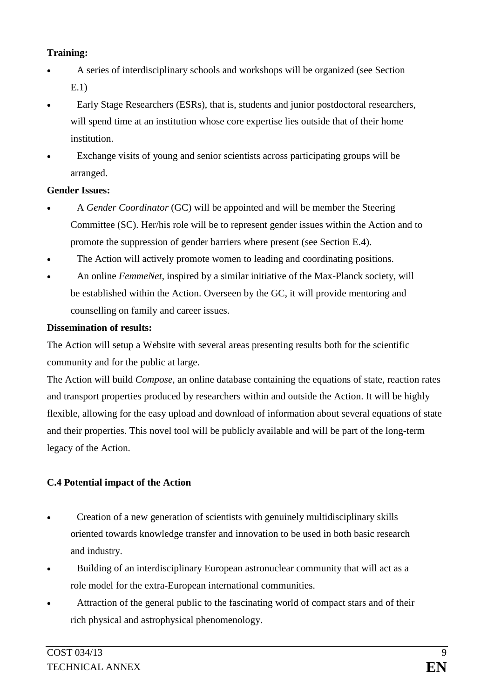### **Training:**

- A series of interdisciplinary schools and workshops will be organized (see Section E.1)
- Early Stage Researchers (ESRs), that is, students and junior postdoctoral researchers, will spend time at an institution whose core expertise lies outside that of their home institution.
- Exchange visits of young and senior scientists across participating groups will be arranged.

#### **Gender Issues:**

- A *Gender Coordinator* (GC) will be appointed and will be member the Steering Committee (SC). Her/his role will be to represent gender issues within the Action and to promote the suppression of gender barriers where present (see Section E.4).
- The Action will actively promote women to leading and coordinating positions.
- An online *FemmeNet*, inspired by a similar initiative of the Max-Planck society, will be established within the Action. Overseen by the GC, it will provide mentoring and counselling on family and career issues.

### **Dissemination of results:**

The Action will setup a Website with several areas presenting results both for the scientific community and for the public at large.

The Action will build *Compose*, an online database containing the equations of state, reaction rates and transport properties produced by researchers within and outside the Action. It will be highly flexible, allowing for the easy upload and download of information about several equations of state and their properties. This novel tool will be publicly available and will be part of the long-term legacy of the Action.

## **C.4 Potential impact of the Action**

- Creation of a new generation of scientists with genuinely multidisciplinary skills oriented towards knowledge transfer and innovation to be used in both basic research and industry.
- Building of an interdisciplinary European astronuclear community that will act as a role model for the extra-European international communities.
- Attraction of the general public to the fascinating world of compact stars and of their rich physical and astrophysical phenomenology.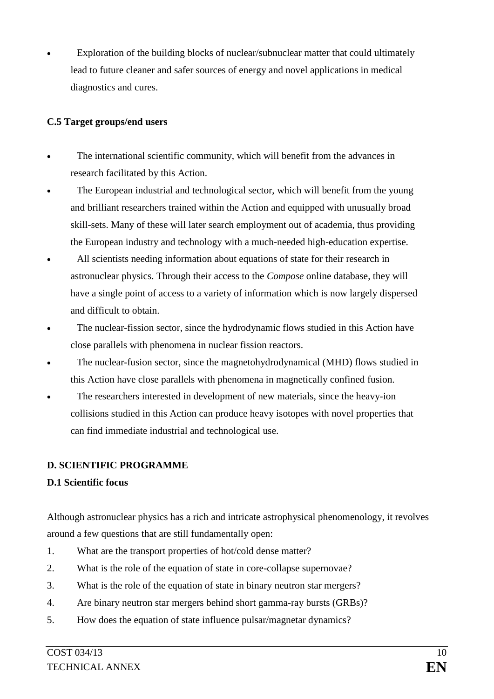Exploration of the building blocks of nuclear/subnuclear matter that could ultimately lead to future cleaner and safer sources of energy and novel applications in medical diagnostics and cures.

#### **C.5 Target groups/end users**

- The international scientific community, which will benefit from the advances in research facilitated by this Action.
- The European industrial and technological sector, which will benefit from the young and brilliant researchers trained within the Action and equipped with unusually broad skill-sets. Many of these will later search employment out of academia, thus providing the European industry and technology with a much-needed high-education expertise.
- All scientists needing information about equations of state for their research in astronuclear physics. Through their access to the *Compose* online database, they will have a single point of access to a variety of information which is now largely dispersed and difficult to obtain.
- The nuclear-fission sector, since the hydrodynamic flows studied in this Action have close parallels with phenomena in nuclear fission reactors.
- The nuclear-fusion sector, since the magnetohydrodynamical (MHD) flows studied in this Action have close parallels with phenomena in magnetically confined fusion.
- The researchers interested in development of new materials, since the heavy-ion collisions studied in this Action can produce heavy isotopes with novel properties that can find immediate industrial and technological use.

## **D. SCIENTIFIC PROGRAMME**

## **D.1 Scientific focus**

Although astronuclear physics has a rich and intricate astrophysical phenomenology, it revolves around a few questions that are still fundamentally open:

- 1. What are the transport properties of hot/cold dense matter?
- 2. What is the role of the equation of state in core-collapse supernovae?
- 3. What is the role of the equation of state in binary neutron star mergers?
- 4. Are binary neutron star mergers behind short gamma-ray bursts (GRBs)?
- 5. How does the equation of state influence pulsar/magnetar dynamics?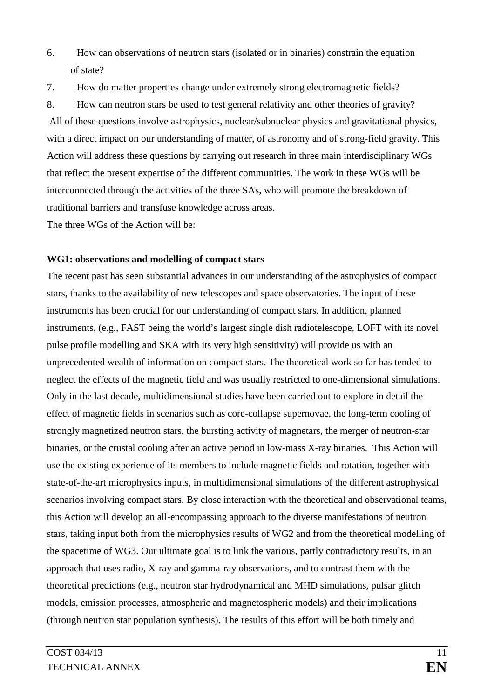- 6. How can observations of neutron stars (isolated or in binaries) constrain the equation of state?
- 7. How do matter properties change under extremely strong electromagnetic fields?

8. How can neutron stars be used to test general relativity and other theories of gravity? All of these questions involve astrophysics, nuclear/subnuclear physics and gravitational physics, with a direct impact on our understanding of matter, of astronomy and of strong-field gravity. This Action will address these questions by carrying out research in three main interdisciplinary WGs that reflect the present expertise of the different communities. The work in these WGs will be interconnected through the activities of the three SAs, who will promote the breakdown of traditional barriers and transfuse knowledge across areas.

The three WGs of the Action will be:

### **WG1: observations and modelling of compact stars**

The recent past has seen substantial advances in our understanding of the astrophysics of compact stars, thanks to the availability of new telescopes and space observatories. The input of these instruments has been crucial for our understanding of compact stars. In addition, planned instruments, (e.g., FAST being the world's largest single dish radiotelescope, LOFT with its novel pulse profile modelling and SKA with its very high sensitivity) will provide us with an unprecedented wealth of information on compact stars. The theoretical work so far has tended to neglect the effects of the magnetic field and was usually restricted to one-dimensional simulations. Only in the last decade, multidimensional studies have been carried out to explore in detail the effect of magnetic fields in scenarios such as core-collapse supernovae, the long-term cooling of strongly magnetized neutron stars, the bursting activity of magnetars, the merger of neutron-star binaries, or the crustal cooling after an active period in low-mass X-ray binaries. This Action will use the existing experience of its members to include magnetic fields and rotation, together with state-of-the-art microphysics inputs, in multidimensional simulations of the different astrophysical scenarios involving compact stars. By close interaction with the theoretical and observational teams, this Action will develop an all-encompassing approach to the diverse manifestations of neutron stars, taking input both from the microphysics results of WG2 and from the theoretical modelling of the spacetime of WG3. Our ultimate goal is to link the various, partly contradictory results, in an approach that uses radio, X-ray and gamma-ray observations, and to contrast them with the theoretical predictions (e.g., neutron star hydrodynamical and MHD simulations, pulsar glitch models, emission processes, atmospheric and magnetospheric models) and their implications (through neutron star population synthesis). The results of this effort will be both timely and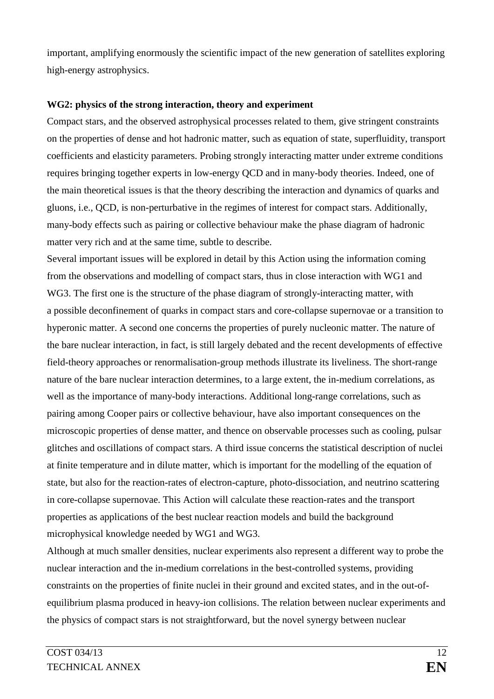important, amplifying enormously the scientific impact of the new generation of satellites exploring high-energy astrophysics.

#### **WG2: physics of the strong interaction, theory and experiment**

Compact stars, and the observed astrophysical processes related to them, give stringent constraints on the properties of dense and hot hadronic matter, such as equation of state, superfluidity, transport coefficients and elasticity parameters. Probing strongly interacting matter under extreme conditions requires bringing together experts in low-energy QCD and in many-body theories. Indeed, one of the main theoretical issues is that the theory describing the interaction and dynamics of quarks and gluons, i.e., QCD, is non-perturbative in the regimes of interest for compact stars. Additionally, many-body effects such as pairing or collective behaviour make the phase diagram of hadronic matter very rich and at the same time, subtle to describe.

Several important issues will be explored in detail by this Action using the information coming from the observations and modelling of compact stars, thus in close interaction with WG1 and WG3. The first one is the structure of the phase diagram of strongly-interacting matter, with a possible deconfinement of quarks in compact stars and core-collapse supernovae or a transition to hyperonic matter. A second one concerns the properties of purely nucleonic matter. The nature of the bare nuclear interaction, in fact, is still largely debated and the recent developments of effective field-theory approaches or renormalisation-group methods illustrate its liveliness. The short-range nature of the bare nuclear interaction determines, to a large extent, the in-medium correlations, as well as the importance of many-body interactions. Additional long-range correlations, such as pairing among Cooper pairs or collective behaviour, have also important consequences on the microscopic properties of dense matter, and thence on observable processes such as cooling, pulsar glitches and oscillations of compact stars. A third issue concerns the statistical description of nuclei at finite temperature and in dilute matter, which is important for the modelling of the equation of state, but also for the reaction-rates of electron-capture, photo-dissociation, and neutrino scattering in core-collapse supernovae. This Action will calculate these reaction-rates and the transport properties as applications of the best nuclear reaction models and build the background microphysical knowledge needed by WG1 and WG3.

Although at much smaller densities, nuclear experiments also represent a different way to probe the nuclear interaction and the in-medium correlations in the best-controlled systems, providing constraints on the properties of finite nuclei in their ground and excited states, and in the out-ofequilibrium plasma produced in heavy-ion collisions. The relation between nuclear experiments and the physics of compact stars is not straightforward, but the novel synergy between nuclear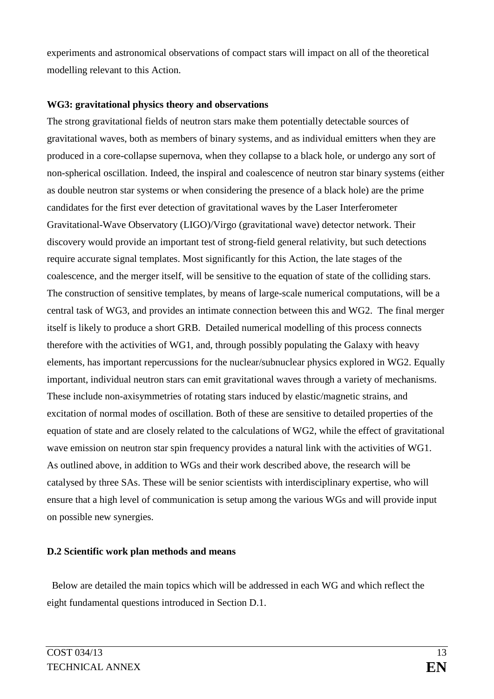experiments and astronomical observations of compact stars will impact on all of the theoretical modelling relevant to this Action.

#### **WG3: gravitational physics theory and observations**

The strong gravitational fields of neutron stars make them potentially detectable sources of gravitational waves, both as members of binary systems, and as individual emitters when they are produced in a core-collapse supernova, when they collapse to a black hole, or undergo any sort of non-spherical oscillation. Indeed, the inspiral and coalescence of neutron star binary systems (either as double neutron star systems or when considering the presence of a black hole) are the prime candidates for the first ever detection of gravitational waves by the Laser Interferometer Gravitational-Wave Observatory (LIGO)/Virgo (gravitational wave) detector network. Their discovery would provide an important test of strong-field general relativity, but such detections require accurate signal templates. Most significantly for this Action, the late stages of the coalescence, and the merger itself, will be sensitive to the equation of state of the colliding stars. The construction of sensitive templates, by means of large-scale numerical computations, will be a central task of WG3, and provides an intimate connection between this and WG2. The final merger itself is likely to produce a short GRB. Detailed numerical modelling of this process connects therefore with the activities of WG1, and, through possibly populating the Galaxy with heavy elements, has important repercussions for the nuclear/subnuclear physics explored in WG2. Equally important, individual neutron stars can emit gravitational waves through a variety of mechanisms. These include non-axisymmetries of rotating stars induced by elastic/magnetic strains, and excitation of normal modes of oscillation. Both of these are sensitive to detailed properties of the equation of state and are closely related to the calculations of WG2, while the effect of gravitational wave emission on neutron star spin frequency provides a natural link with the activities of WG1. As outlined above, in addition to WGs and their work described above, the research will be catalysed by three SAs. These will be senior scientists with interdisciplinary expertise, who will ensure that a high level of communication is setup among the various WGs and will provide input on possible new synergies.

#### **D.2 Scientific work plan methods and means**

Below are detailed the main topics which will be addressed in each WG and which reflect the eight fundamental questions introduced in Section D.1.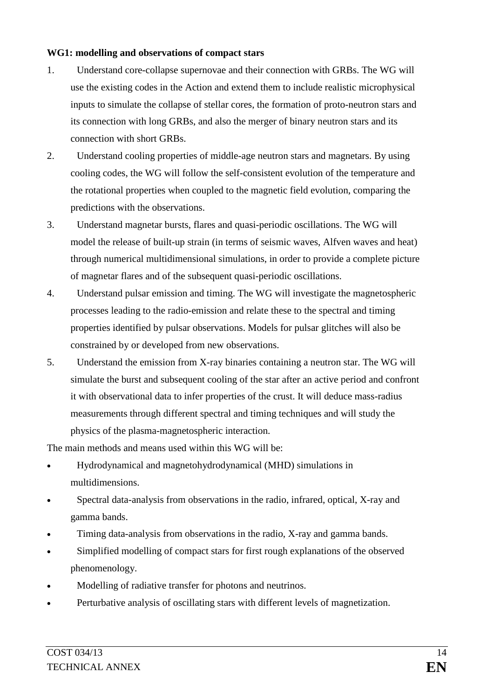#### **WG1: modelling and observations of compact stars**

- 1. Understand core-collapse supernovae and their connection with GRBs. The WG will use the existing codes in the Action and extend them to include realistic microphysical inputs to simulate the collapse of stellar cores, the formation of proto-neutron stars and its connection with long GRBs, and also the merger of binary neutron stars and its connection with short GRBs.
- 2. Understand cooling properties of middle-age neutron stars and magnetars. By using cooling codes, the WG will follow the self-consistent evolution of the temperature and the rotational properties when coupled to the magnetic field evolution, comparing the predictions with the observations.
- 3. Understand magnetar bursts, flares and quasi-periodic oscillations. The WG will model the release of built-up strain (in terms of seismic waves, Alfven waves and heat) through numerical multidimensional simulations, in order to provide a complete picture of magnetar flares and of the subsequent quasi-periodic oscillations.
- 4. Understand pulsar emission and timing. The WG will investigate the magnetospheric processes leading to the radio-emission and relate these to the spectral and timing properties identified by pulsar observations. Models for pulsar glitches will also be constrained by or developed from new observations.
- 5. Understand the emission from X-ray binaries containing a neutron star. The WG will simulate the burst and subsequent cooling of the star after an active period and confront it with observational data to infer properties of the crust. It will deduce mass-radius measurements through different spectral and timing techniques and will study the physics of the plasma-magnetospheric interaction.

The main methods and means used within this WG will be:

- Hydrodynamical and magnetohydrodynamical (MHD) simulations in multidimensions.
- Spectral data-analysis from observations in the radio, infrared, optical, X-ray and gamma bands.
- Timing data-analysis from observations in the radio, X-ray and gamma bands.
- Simplified modelling of compact stars for first rough explanations of the observed phenomenology.
- Modelling of radiative transfer for photons and neutrinos.
- Perturbative analysis of oscillating stars with different levels of magnetization.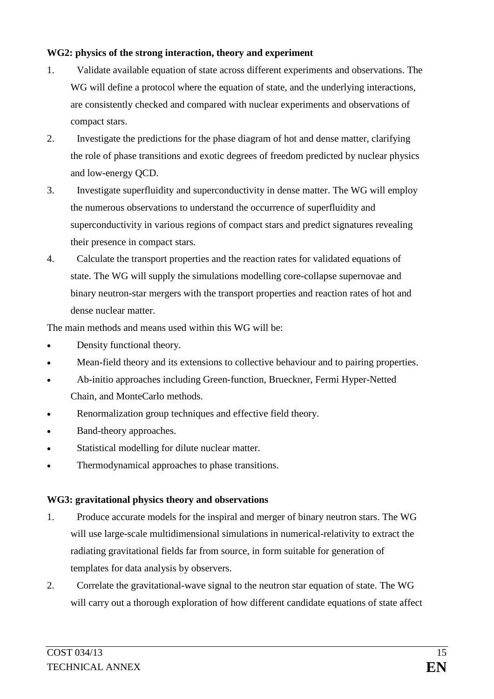### **WG2: physics of the strong interaction, theory and experiment**

- 1. Validate available equation of state across different experiments and observations. The WG will define a protocol where the equation of state, and the underlying interactions, are consistently checked and compared with nuclear experiments and observations of compact stars.
- 2. Investigate the predictions for the phase diagram of hot and dense matter, clarifying the role of phase transitions and exotic degrees of freedom predicted by nuclear physics and low-energy QCD.
- 3. Investigate superfluidity and superconductivity in dense matter. The WG will employ the numerous observations to understand the occurrence of superfluidity and superconductivity in various regions of compact stars and predict signatures revealing their presence in compact stars.
- 4. Calculate the transport properties and the reaction rates for validated equations of state. The WG will supply the simulations modelling core-collapse supernovae and binary neutron-star mergers with the transport properties and reaction rates of hot and dense nuclear matter.

The main methods and means used within this WG will be:

- Density functional theory.
- Mean-field theory and its extensions to collective behaviour and to pairing properties.
- Ab-initio approaches including Green-function, Brueckner, Fermi Hyper-Netted Chain, and MonteCarlo methods.
- Renormalization group techniques and effective field theory.
- Band-theory approaches.
- Statistical modelling for dilute nuclear matter.
- Thermodynamical approaches to phase transitions.

# **WG3: gravitational physics theory and observations**

- 1. Produce accurate models for the inspiral and merger of binary neutron stars. The WG will use large-scale multidimensional simulations in numerical-relativity to extract the radiating gravitational fields far from source, in form suitable for generation of templates for data analysis by observers.
- 2. Correlate the gravitational-wave signal to the neutron star equation of state. The WG will carry out a thorough exploration of how different candidate equations of state affect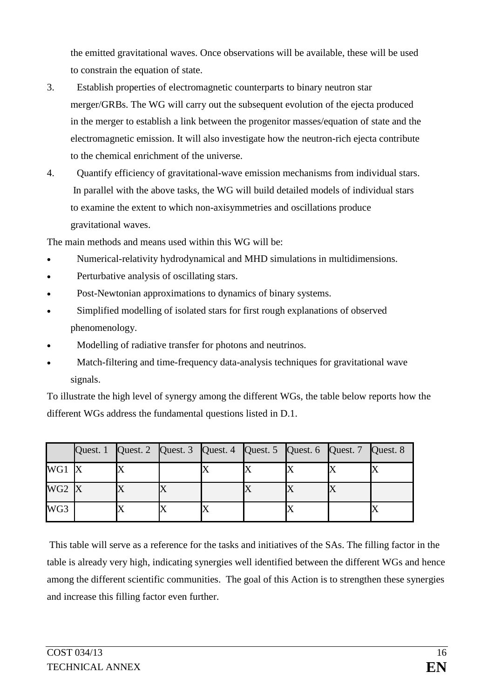the emitted gravitational waves. Once observations will be available, these will be used to constrain the equation of state.

- 3. Establish properties of electromagnetic counterparts to binary neutron star merger/GRBs. The WG will carry out the subsequent evolution of the ejecta produced in the merger to establish a link between the progenitor masses/equation of state and the electromagnetic emission. It will also investigate how the neutron-rich ejecta contribute to the chemical enrichment of the universe.
- 4. Quantify efficiency of gravitational-wave emission mechanisms from individual stars. In parallel with the above tasks, the WG will build detailed models of individual stars to examine the extent to which non-axisymmetries and oscillations produce gravitational waves.

The main methods and means used within this WG will be:

- Numerical-relativity hydrodynamical and MHD simulations in multidimensions.
- Perturbative analysis of oscillating stars.
- Post-Newtonian approximations to dynamics of binary systems.
- Simplified modelling of isolated stars for first rough explanations of observed phenomenology.
- Modelling of radiative transfer for photons and neutrinos.
- Match-filtering and time-frequency data-analysis techniques for gravitational wave signals.

To illustrate the high level of synergy among the different WGs, the table below reports how the different WGs address the fundamental questions listed in D.1.

|         | Quest. 1 Quest. 2 Quest. 3 Quest. 4 Quest. 5 Quest. 6 Quest. 7 Quest. 8 |  |  |  |  |
|---------|-------------------------------------------------------------------------|--|--|--|--|
| WG1 X   |                                                                         |  |  |  |  |
| $WG2$ X |                                                                         |  |  |  |  |
| WG3     |                                                                         |  |  |  |  |

This table will serve as a reference for the tasks and initiatives of the SAs. The filling factor in the table is already very high, indicating synergies well identified between the different WGs and hence among the different scientific communities. The goal of this Action is to strengthen these synergies and increase this filling factor even further.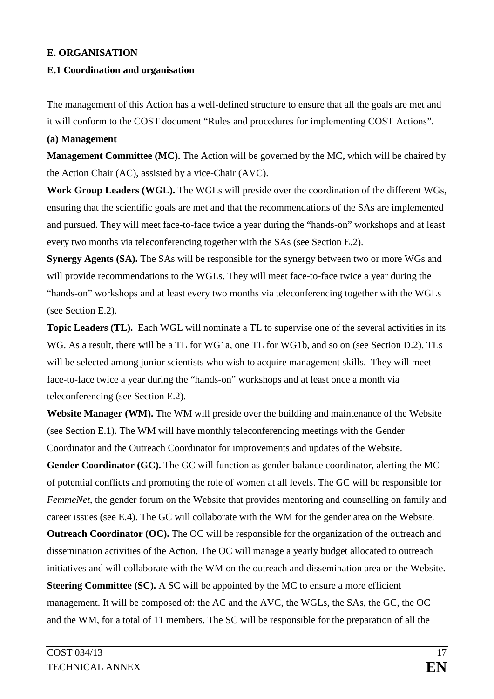#### **E. ORGANISATION**

#### **E.1 Coordination and organisation**

The management of this Action has a well-defined structure to ensure that all the goals are met and it will conform to the COST document "Rules and procedures for implementing COST Actions".

#### **(a) Management**

**Management Committee (MC).** The Action will be governed by the MC**,** which will be chaired by the Action Chair (AC), assisted by a vice-Chair (AVC).

**Work Group Leaders (WGL).** The WGLs will preside over the coordination of the different WGs, ensuring that the scientific goals are met and that the recommendations of the SAs are implemented and pursued. They will meet face-to-face twice a year during the "hands-on" workshops and at least every two months via teleconferencing together with the SAs (see Section E.2).

**Synergy Agents (SA).** The SAs will be responsible for the synergy between two or more WGs and will provide recommendations to the WGLs. They will meet face-to-face twice a year during the "hands-on" workshops and at least every two months via teleconferencing together with the WGLs (see Section E.2).

**Topic Leaders (TL).** Each WGL will nominate a TL to supervise one of the several activities in its WG. As a result, there will be a TL for WG1a, one TL for WG1b, and so on (see Section D.2). TLs will be selected among junior scientists who wish to acquire management skills. They will meet face-to-face twice a year during the "hands-on" workshops and at least once a month via teleconferencing (see Section E.2).

**Website Manager (WM).** The WM will preside over the building and maintenance of the Website (see Section E.1). The WM will have monthly teleconferencing meetings with the Gender Coordinator and the Outreach Coordinator for improvements and updates of the Website.

**Gender Coordinator (GC).** The GC will function as gender-balance coordinator, alerting the MC of potential conflicts and promoting the role of women at all levels. The GC will be responsible for *FemmeNet*, the gender forum on the Website that provides mentoring and counselling on family and career issues (see E.4). The GC will collaborate with the WM for the gender area on the Website. **Outreach Coordinator (OC).** The OC will be responsible for the organization of the outreach and dissemination activities of the Action. The OC will manage a yearly budget allocated to outreach initiatives and will collaborate with the WM on the outreach and dissemination area on the Website. **Steering Committee (SC).** A SC will be appointed by the MC to ensure a more efficient management. It will be composed of: the AC and the AVC, the WGLs, the SAs, the GC, the OC and the WM, for a total of 11 members. The SC will be responsible for the preparation of all the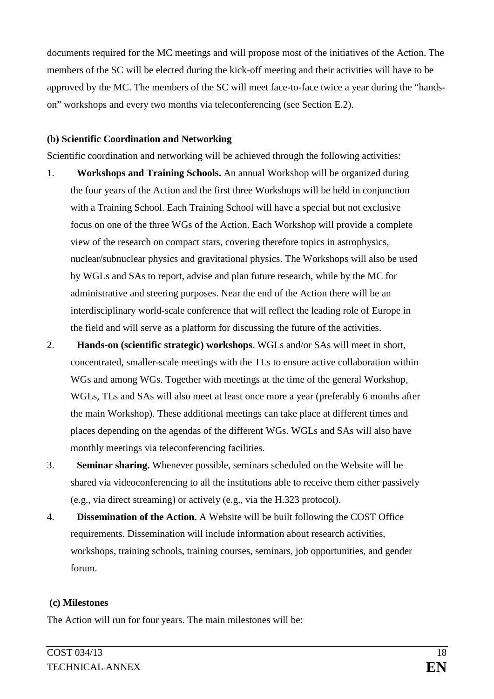documents required for the MC meetings and will propose most of the initiatives of the Action. The members of the SC will be elected during the kick-off meeting and their activities will have to be approved by the MC. The members of the SC will meet face-to-face twice a year during the "handson" workshops and every two months via teleconferencing (see Section E.2).

#### **(b) Scientific Coordination and Networking**

Scientific coordination and networking will be achieved through the following activities:

- 1. **Workshops and Training Schools.** An annual Workshop will be organized during the four years of the Action and the first three Workshops will be held in conjunction with a Training School. Each Training School will have a special but not exclusive focus on one of the three WGs of the Action. Each Workshop will provide a complete view of the research on compact stars, covering therefore topics in astrophysics, nuclear/subnuclear physics and gravitational physics. The Workshops will also be used by WGLs and SAs to report, advise and plan future research, while by the MC for administrative and steering purposes. Near the end of the Action there will be an interdisciplinary world-scale conference that will reflect the leading role of Europe in the field and will serve as a platform for discussing the future of the activities.
- 2. **Hands-on (scientific strategic) workshops.** WGLs and/or SAs will meet in short, concentrated, smaller-scale meetings with the TLs to ensure active collaboration within WGs and among WGs. Together with meetings at the time of the general Workshop, WGLs, TLs and SAs will also meet at least once more a year (preferably 6 months after the main Workshop). These additional meetings can take place at different times and places depending on the agendas of the different WGs. WGLs and SAs will also have monthly meetings via teleconferencing facilities.
- 3. **Seminar sharing.** Whenever possible, seminars scheduled on the Website will be shared via videoconferencing to all the institutions able to receive them either passively (e.g., via direct streaming) or actively (e.g., via the H.323 protocol).
- 4. **Dissemination of the Action.** A Website will be built following the COST Office requirements. Dissemination will include information about research activities, workshops, training schools, training courses, seminars, job opportunities, and gender forum.

#### **(c) Milestones**

The Action will run for four years. The main milestones will be: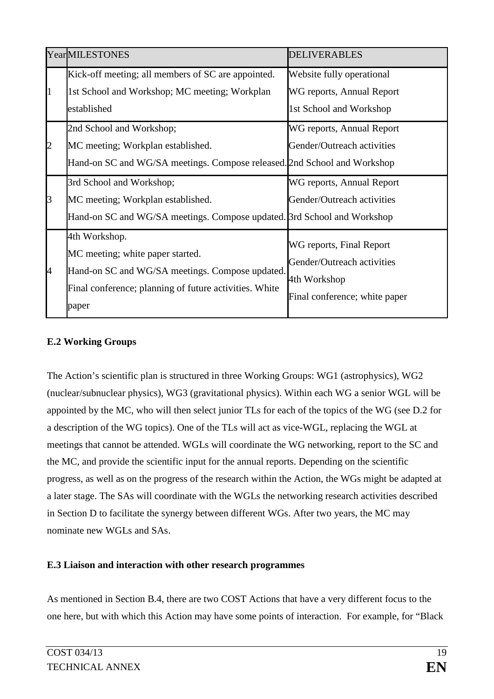|              | <b>YearMILESTONES</b>                                                                                                                                                   | <b>DELIVERABLES</b>                                                                                     |
|--------------|-------------------------------------------------------------------------------------------------------------------------------------------------------------------------|---------------------------------------------------------------------------------------------------------|
| $\mathbf{1}$ | Kick-off meeting; all members of SC are appointed.<br>1st School and Workshop; MC meeting; Workplan<br>established                                                      | Website fully operational<br>WG reports, Annual Report<br>1st School and Workshop                       |
| 2            | 2nd School and Workshop;<br>MC meeting; Workplan established.<br>Hand-on SC and WG/SA meetings. Compose released. 2nd School and Workshop                               | WG reports, Annual Report<br>Gender/Outreach activities                                                 |
| 3            | 3rd School and Workshop;<br>MC meeting; Workplan established.<br>Hand-on SC and WG/SA meetings. Compose updated. 3rd School and Workshop                                | WG reports, Annual Report<br>Gender/Outreach activities                                                 |
| 14           | 4th Workshop.<br>MC meeting; white paper started.<br>Hand-on SC and WG/SA meetings. Compose updated.<br>Final conference; planning of future activities. White<br>paper | WG reports, Final Report<br>Gender/Outreach activities<br>4th Workshop<br>Final conference; white paper |

## **E.2 Working Groups**

The Action's scientific plan is structured in three Working Groups: WG1 (astrophysics), WG2 (nuclear/subnuclear physics), WG3 (gravitational physics). Within each WG a senior WGL will be appointed by the MC, who will then select junior TLs for each of the topics of the WG (see D.2 for a description of the WG topics). One of the TLs will act as vice-WGL, replacing the WGL at meetings that cannot be attended. WGLs will coordinate the WG networking, report to the SC and the MC, and provide the scientific input for the annual reports. Depending on the scientific progress, as well as on the progress of the research within the Action, the WGs might be adapted at a later stage. The SAs will coordinate with the WGLs the networking research activities described in Section D to facilitate the synergy between different WGs. After two years, the MC may nominate new WGLs and SAs.

#### **E.3 Liaison and interaction with other research programmes**

As mentioned in Section B.4, there are two COST Actions that have a very different focus to the one here, but with which this Action may have some points of interaction. For example, for "Black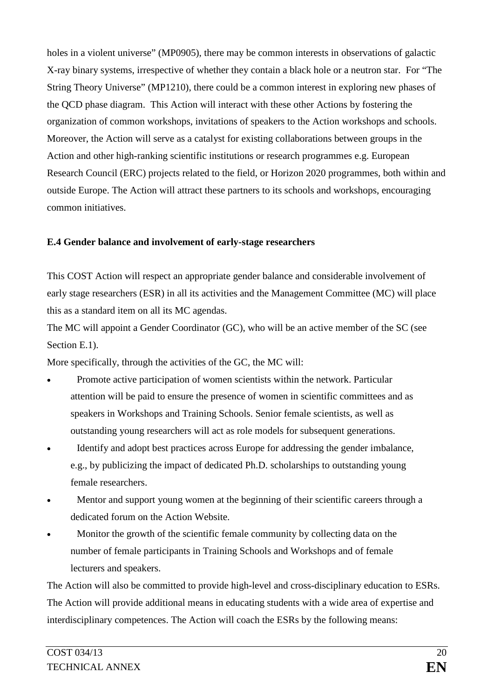holes in a violent universe" (MP0905), there may be common interests in observations of galactic X-ray binary systems, irrespective of whether they contain a black hole or a neutron star. For "The String Theory Universe" (MP1210), there could be a common interest in exploring new phases of the QCD phase diagram. This Action will interact with these other Actions by fostering the organization of common workshops, invitations of speakers to the Action workshops and schools. Moreover, the Action will serve as a catalyst for existing collaborations between groups in the Action and other high-ranking scientific institutions or research programmes e.g. European Research Council (ERC) projects related to the field, or Horizon 2020 programmes, both within and outside Europe. The Action will attract these partners to its schools and workshops, encouraging common initiatives.

### **E.4 Gender balance and involvement of early-stage researchers**

This COST Action will respect an appropriate gender balance and considerable involvement of early stage researchers (ESR) in all its activities and the Management Committee (MC) will place this as a standard item on all its MC agendas.

The MC will appoint a Gender Coordinator (GC), who will be an active member of the SC (see Section E.1).

More specifically, through the activities of the GC, the MC will:

- Promote active participation of women scientists within the network. Particular attention will be paid to ensure the presence of women in scientific committees and as speakers in Workshops and Training Schools. Senior female scientists, as well as outstanding young researchers will act as role models for subsequent generations.
- Identify and adopt best practices across Europe for addressing the gender imbalance, e.g., by publicizing the impact of dedicated Ph.D. scholarships to outstanding young female researchers.
- Mentor and support young women at the beginning of their scientific careers through a dedicated forum on the Action Website.
- Monitor the growth of the scientific female community by collecting data on the number of female participants in Training Schools and Workshops and of female lecturers and speakers.

The Action will also be committed to provide high-level and cross-disciplinary education to ESRs. The Action will provide additional means in educating students with a wide area of expertise and interdisciplinary competences. The Action will coach the ESRs by the following means: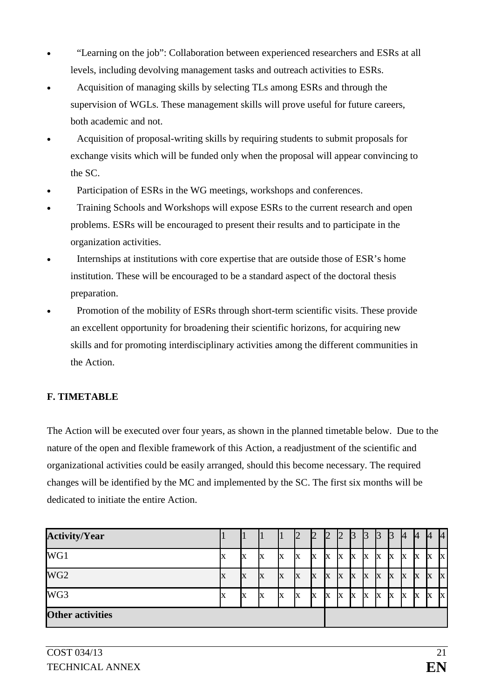- "Learning on the job": Collaboration between experienced researchers and ESRs at all levels, including devolving management tasks and outreach activities to ESRs.
- Acquisition of managing skills by selecting TLs among ESRs and through the supervision of WGLs. These management skills will prove useful for future careers, both academic and not.
- Acquisition of proposal-writing skills by requiring students to submit proposals for exchange visits which will be funded only when the proposal will appear convincing to the SC.
- Participation of ESRs in the WG meetings, workshops and conferences.
- Training Schools and Workshops will expose ESRs to the current research and open problems. ESRs will be encouraged to present their results and to participate in the organization activities.
- Internships at institutions with core expertise that are outside those of ESR's home institution. These will be encouraged to be a standard aspect of the doctoral thesis preparation.
- Promotion of the mobility of ESRs through short-term scientific visits. These provide an excellent opportunity for broadening their scientific horizons, for acquiring new skills and for promoting interdisciplinary activities among the different communities in the Action.

# **F. TIMETABLE**

The Action will be executed over four years, as shown in the planned timetable below. Due to the nature of the open and flexible framework of this Action, a readjustment of the scientific and organizational activities could be easily arranged, should this become necessary. The required changes will be identified by the MC and implemented by the SC. The first six months will be dedicated to initiate the entire Action.

| <b>Activity/Year</b>    |    |   |   |   | $\mathbb Z$ | $\overline{2}$ | Ľ  | $\mathbb{Z}$ | 3        | ß | <sup>3</sup> | Ľ3 | 14 | <sup>4</sup> | 14 | 4            |
|-------------------------|----|---|---|---|-------------|----------------|----|--------------|----------|---|--------------|----|----|--------------|----|--------------|
| WG1                     | IX | X | Х | X | X           | IX             | X  | IX           | X        | X | X            | X  | X  | X            | IX | X            |
| WG <sub>2</sub>         | X  | X | X | X | X           | IX             | X  | X            | X        | X | X            | X  | X  | X            | X  | $\mathbf X$  |
| WG3                     | IX | X | x |   | X           | X              | IX | IX           | <b>X</b> | X | X            | IX | X  | X            | IX | $\mathbf{x}$ |
| <b>Other activities</b> |    |   |   |   |             |                |    |              |          |   |              |    |    |              |    |              |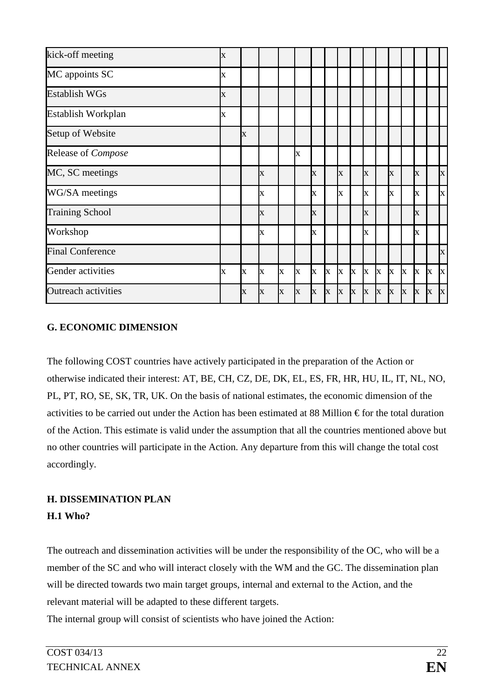| kick-off meeting           | $\bf{X}$    |                         |                         |   |   |              |   |                         |              |                       |              |              |              |              |             |   |
|----------------------------|-------------|-------------------------|-------------------------|---|---|--------------|---|-------------------------|--------------|-----------------------|--------------|--------------|--------------|--------------|-------------|---|
| MC appoints SC             | $\mathbf X$ |                         |                         |   |   |              |   |                         |              |                       |              |              |              |              |             |   |
| <b>Establish WGs</b>       | $\bf{X}$    |                         |                         |   |   |              |   |                         |              |                       |              |              |              |              |             |   |
| Establish Workplan         | X           |                         |                         |   |   |              |   |                         |              |                       |              |              |              |              |             |   |
| Setup of Website           |             | $\overline{\mathbf{X}}$ |                         |   |   |              |   |                         |              |                       |              |              |              |              |             |   |
| Release of Compose         |             |                         |                         |   | X |              |   |                         |              |                       |              |              |              |              |             |   |
| MC, SC meetings            |             |                         | X                       |   |   | X            |   | $\overline{\mathbf{X}}$ |              | X                     |              | X            |              | X            |             | X |
| WG/SA meetings             |             |                         | X                       |   |   | $\bf{X}$     |   | X                       |              | X                     |              | X            |              | X            |             | X |
| <b>Training School</b>     |             |                         | X                       |   |   | $\bf X$      |   |                         |              | X                     |              |              |              | X            |             |   |
| Workshop                   |             |                         | $\overline{\mathbf{X}}$ |   |   | X            |   |                         |              | $\overline{\text{X}}$ |              |              |              | Ix           |             |   |
| <b>Final Conference</b>    |             |                         |                         |   |   |              |   |                         |              |                       |              |              |              |              |             | X |
| Gender activities          | $\mathbf X$ | $\bf X$                 | X                       | X | X | $\mathbf{x}$ | X | $\mathbf{x}$            | $\mathbf{x}$ | $\mathbf{x}$          | $\mathbf{x}$ | $\mathbf{x}$ | $\mathbf{x}$ | $\mathbf{x}$ | X           | X |
| <b>Outreach activities</b> |             | $\overline{\mathbf{X}}$ | X                       | X | X | X            | X | $\bf{X}$                | X            | $\mathbf{x}$          | $\mathbf{X}$ | $\mathbf x$  | $\mathbf x$  | X            | $\mathbf X$ | X |

## **G. ECONOMIC DIMENSION**

The following COST countries have actively participated in the preparation of the Action or otherwise indicated their interest: AT, BE, CH, CZ, DE, DK, EL, ES, FR, HR, HU, IL, IT, NL, NO, PL, PT, RO, SE, SK, TR, UK. On the basis of national estimates, the economic dimension of the activities to be carried out under the Action has been estimated at 88 Million  $\epsilon$  for the total duration of the Action. This estimate is valid under the assumption that all the countries mentioned above but no other countries will participate in the Action. Any departure from this will change the total cost accordingly.

## **H. DISSEMINATION PLAN**

## **H.1 Who?**

The outreach and dissemination activities will be under the responsibility of the OC, who will be a member of the SC and who will interact closely with the WM and the GC. The dissemination plan will be directed towards two main target groups, internal and external to the Action, and the relevant material will be adapted to these different targets.

The internal group will consist of scientists who have joined the Action: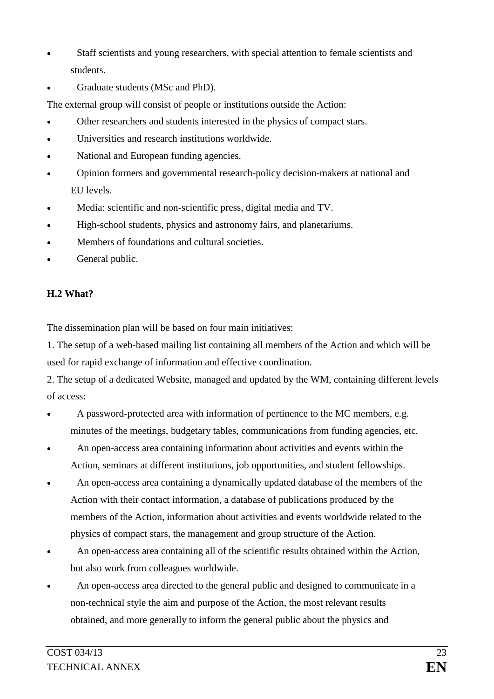- Staff scientists and young researchers, with special attention to female scientists and students.
- Graduate students (MSc and PhD).

The external group will consist of people or institutions outside the Action:

- Other researchers and students interested in the physics of compact stars.
- Universities and research institutions worldwide.
- National and European funding agencies.
- Opinion formers and governmental research-policy decision-makers at national and EU levels.
- Media: scientific and non-scientific press, digital media and TV.
- High-school students, physics and astronomy fairs, and planetariums.
- Members of foundations and cultural societies.
- General public.

## **H.2 What?**

The dissemination plan will be based on four main initiatives:

1. The setup of a web-based mailing list containing all members of the Action and which will be used for rapid exchange of information and effective coordination.

2. The setup of a dedicated Website, managed and updated by the WM, containing different levels of access:

- A password-protected area with information of pertinence to the MC members, e.g. minutes of the meetings, budgetary tables, communications from funding agencies, etc.
- An open-access area containing information about activities and events within the Action, seminars at different institutions, job opportunities, and student fellowships.
- An open-access area containing a dynamically updated database of the members of the Action with their contact information, a database of publications produced by the members of the Action, information about activities and events worldwide related to the physics of compact stars, the management and group structure of the Action.
- An open-access area containing all of the scientific results obtained within the Action, but also work from colleagues worldwide.
- An open-access area directed to the general public and designed to communicate in a non-technical style the aim and purpose of the Action, the most relevant results obtained, and more generally to inform the general public about the physics and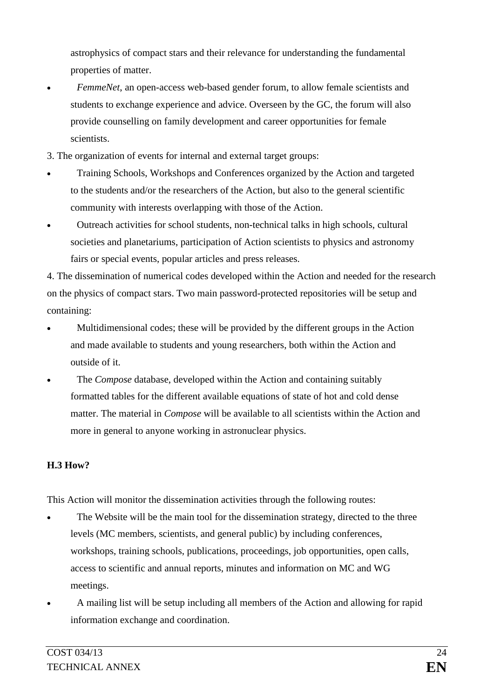astrophysics of compact stars and their relevance for understanding the fundamental properties of matter.

- *FemmeNet*, an open-access web-based gender forum, to allow female scientists and students to exchange experience and advice. Overseen by the GC, the forum will also provide counselling on family development and career opportunities for female scientists.
- 3. The organization of events for internal and external target groups:
- Training Schools, Workshops and Conferences organized by the Action and targeted to the students and/or the researchers of the Action, but also to the general scientific community with interests overlapping with those of the Action.
- Outreach activities for school students, non-technical talks in high schools, cultural societies and planetariums, participation of Action scientists to physics and astronomy fairs or special events, popular articles and press releases.

4. The dissemination of numerical codes developed within the Action and needed for the research on the physics of compact stars. Two main password-protected repositories will be setup and containing:

- Multidimensional codes; these will be provided by the different groups in the Action and made available to students and young researchers, both within the Action and outside of it.
- The *Compose* database, developed within the Action and containing suitably formatted tables for the different available equations of state of hot and cold dense matter. The material in *Compose* will be available to all scientists within the Action and more in general to anyone working in astronuclear physics.

# **H.3 How?**

This Action will monitor the dissemination activities through the following routes:

- The Website will be the main tool for the dissemination strategy, directed to the three levels (MC members, scientists, and general public) by including conferences, workshops, training schools, publications, proceedings, job opportunities, open calls, access to scientific and annual reports, minutes and information on MC and WG meetings.
- A mailing list will be setup including all members of the Action and allowing for rapid information exchange and coordination.